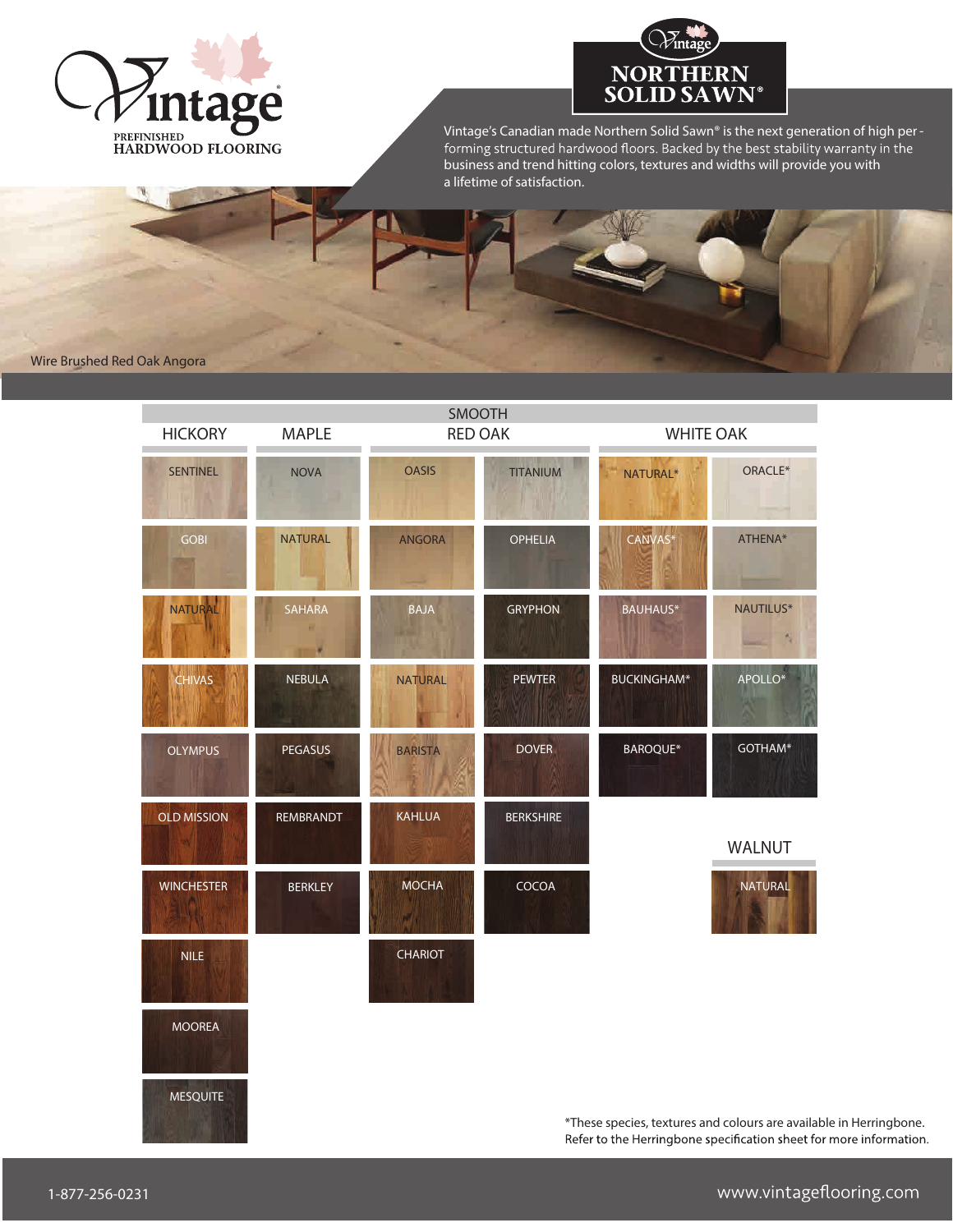



Vintage's Canadian made Northern Solid Sawn® is the next generation of high per-<br>forming structured hardwood floors. Backed by the best stability warranty in the business and trend hitting colors, textures and widths will provide you with a lifetime of satisfaction.



Wire Brushed Red Oak Angora



\*These species, textures and colours are available in Herringbone.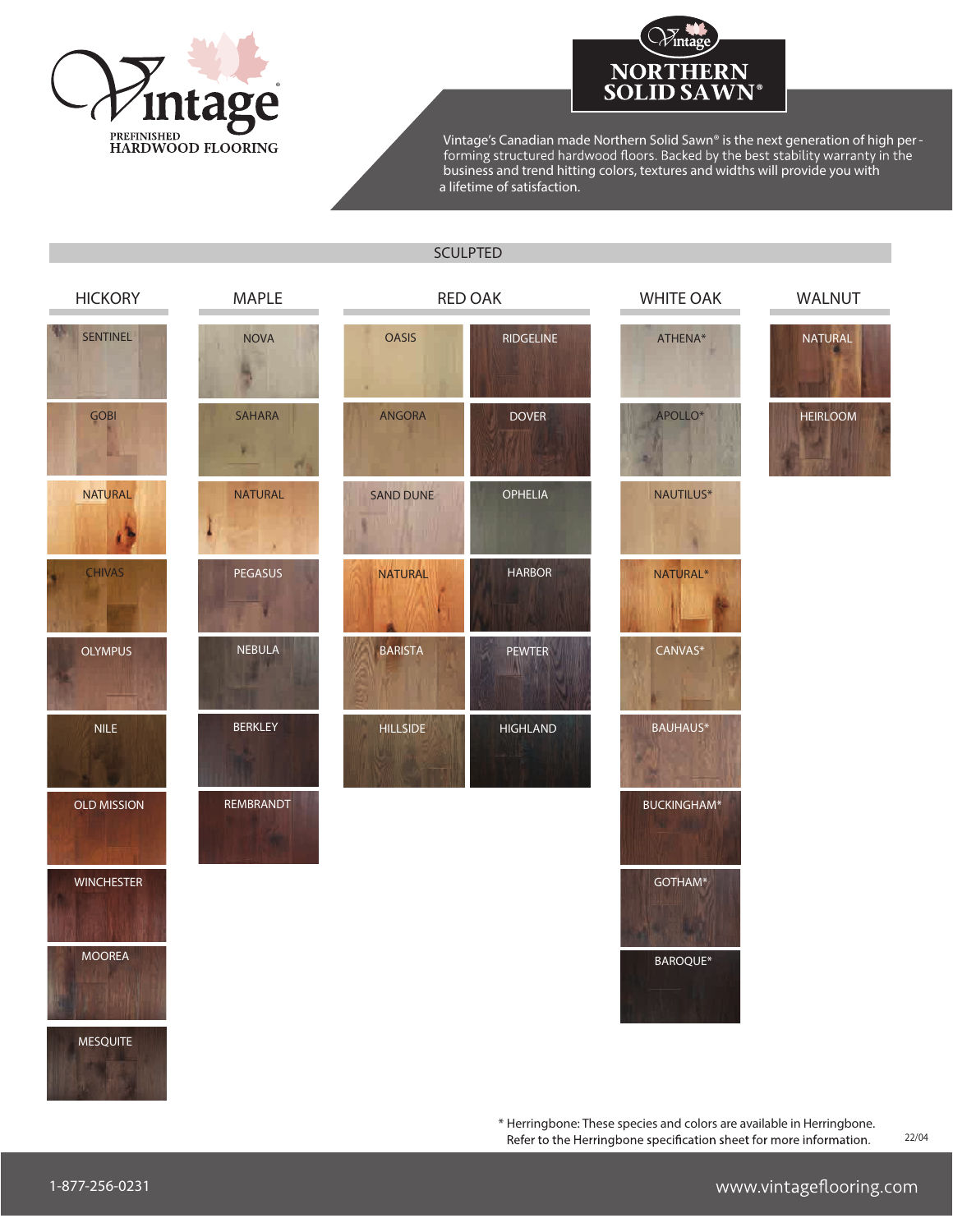



Vintage's Canadian made Northern Solid Sawn® is the next generation of high perbusiness and trend hitting colors, textures and widths will provide you with a lifetime of satisfaction.

## **SCULPTED**

| <b>HICKORY</b>     | <b>MAPLE</b>        |                  | RED OAK         | WHITE OAK          | WALNUT          |  |
|--------------------|---------------------|------------------|-----------------|--------------------|-----------------|--|
| SENTINEL           | <b>NOVA</b>         | <b>OASIS</b>     | RIDGELINE       | ATHENA*            | <b>NATURAL</b>  |  |
| <b>GOBI</b>        | <b>SAHARA</b><br>F. | <b>ANGORA</b>    | <b>DOVER</b>    | APOLLO*            | <b>HEIRLOOM</b> |  |
| <b>NATURAL</b>     | <b>NATURAL</b>      | <b>SAND DUNE</b> | <b>OPHELIA</b>  | NAUTILUS*          |                 |  |
| <b>CHIVAS</b>      | PEGASUS             | <b>NATURAL</b>   | <b>HARBOR</b>   | NATURAL*           |                 |  |
| <b>OLYMPUS</b>     | <b>NEBULA</b>       | <b>BARISTA</b>   | <b>PEWTER</b>   | CANVAS*            |                 |  |
| <b>NILE</b>        | <b>BERKLEY</b>      | <b>HILLSIDE</b>  | <b>HIGHLAND</b> | BAUHAUS*           |                 |  |
| <b>OLD MISSION</b> | REMBRANDT           |                  |                 | <b>BUCKINGHAM*</b> |                 |  |
| <b>WINCHESTER</b>  |                     |                  |                 | GOTHAM*            |                 |  |
| <b>MOOREA</b>      |                     |                  |                 | BAROQUE*           |                 |  |
| <b>MESQUITE</b>    |                     |                  |                 |                    |                 |  |

22/04 \* Herringbone: These species and colors are available in Herringbone.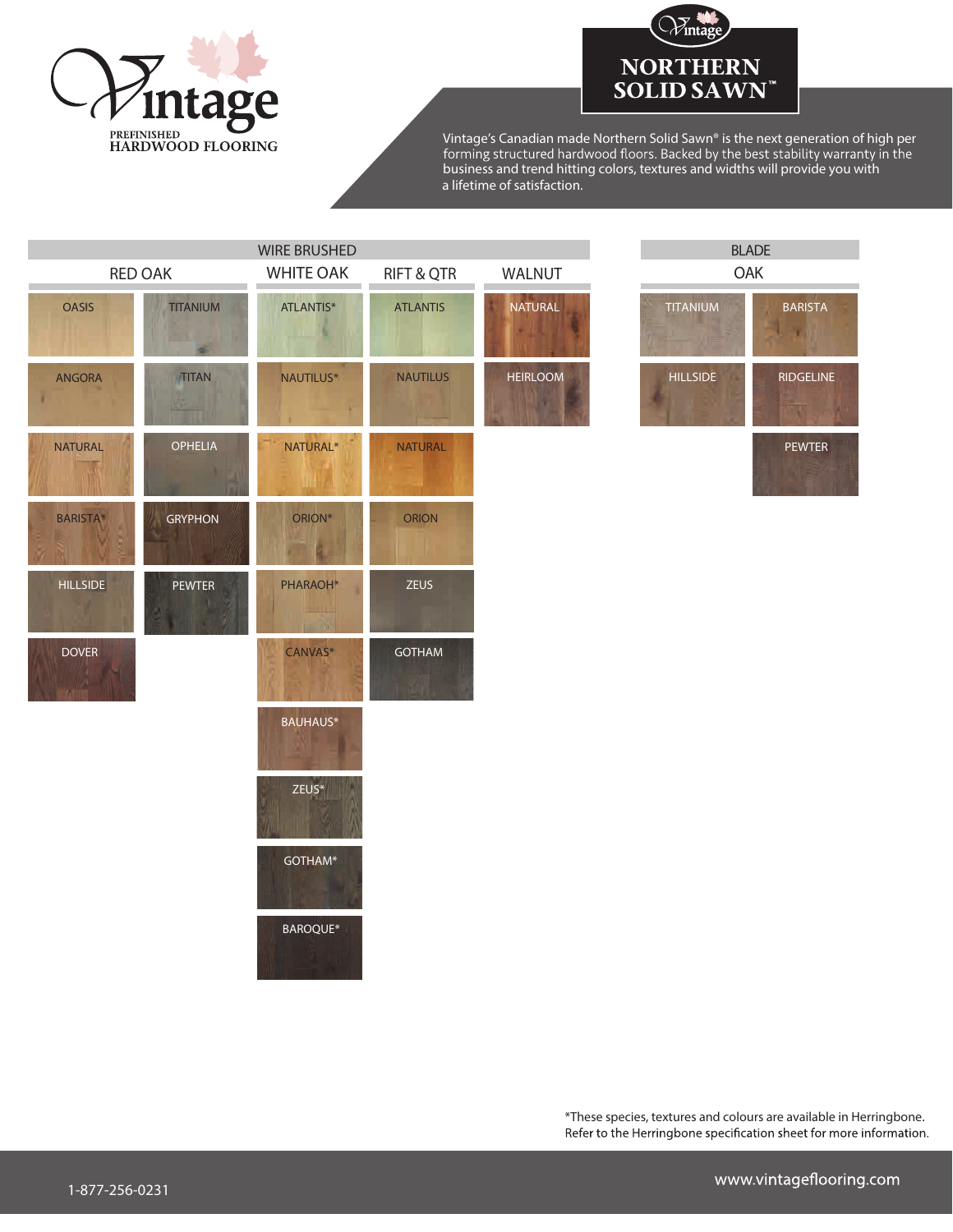



Vintage's Canadian made Northern Solid Sawn® is the next generation of high per business and trend hitting colors, textures and widths will provide you with a lifetime of satisfaction.

| <b>WIRE BRUSHED</b> |                         |                                                     |                 |                 | <b>BLADE</b>                             |  |
|---------------------|-------------------------|-----------------------------------------------------|-----------------|-----------------|------------------------------------------|--|
| RED OAK             |                         | <b>WHITE OAK</b><br><b>RIFT &amp; QTR</b><br>WALNUT |                 |                 | OAK                                      |  |
| <b>OASIS</b>        | <b>TITANIUM</b><br>mar. | ATLANTIS*                                           | <b>ATLANTIS</b> | NATURAL         | <b>TITANIUM</b><br><b>BARISTA</b><br>大方向 |  |
| <b>ANGORA</b>       | TITAN                   | NAUTILUS*                                           | <b>NAUTILUS</b> | <b>HEIRLOOM</b> | <b>HILLSIDE</b><br><b>RIDGELINE</b>      |  |
| <b>NATURAL</b>      | <b>OPHELIA</b>          | NATURAL*                                            | <b>NATURAL</b>  |                 | <b>PEWTER</b>                            |  |
| <b>BARISTA*</b>     | <b>GRYPHON</b>          | ORION*                                              | ORION           |                 |                                          |  |
| <b>HILLSIDE</b>     | PEWTER                  | PHARAOH*<br>- 10                                    | <b>ZEUS</b>     |                 |                                          |  |
| <b>DOVER</b>        |                         | CANVAS*                                             | <b>GOTHAM</b>   |                 |                                          |  |
|                     |                         | <b>BAUHAUS*</b>                                     |                 |                 |                                          |  |
|                     |                         | ZEUS*                                               |                 |                 |                                          |  |
|                     |                         | GOTHAM*                                             |                 |                 |                                          |  |
|                     |                         | BAROQUE*                                            |                 |                 |                                          |  |

\*These species, textures and colours are available in Herringbone. Refer to the Herringbone specification sheet for more information.